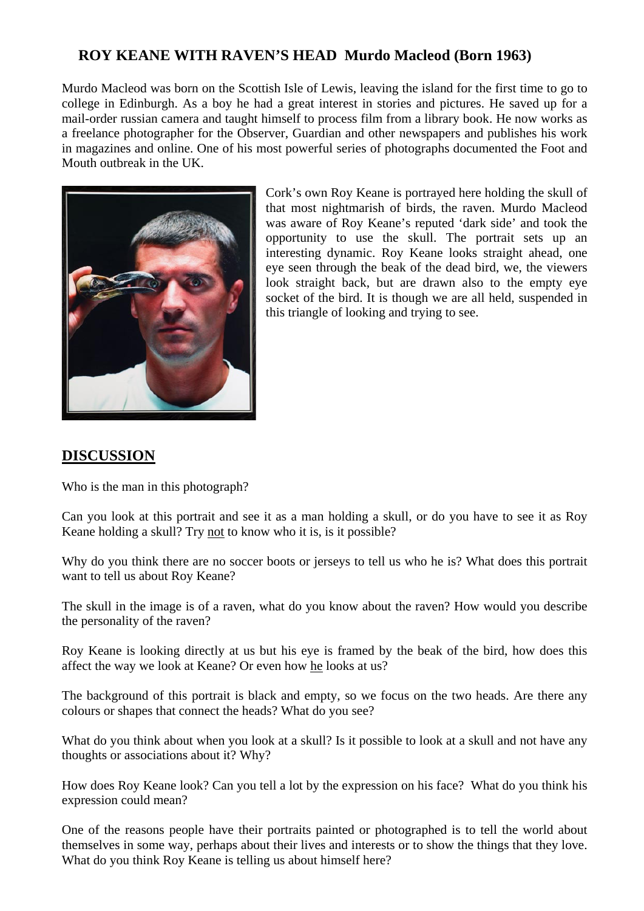## **ROY KEANE WITH RAVEN'S HEAD Murdo Macleod (Born 1963)**

Murdo Macleod was born on the Scottish Isle of Lewis, leaving the island for the first time to go to college in Edinburgh. As a boy he had a great interest in stories and pictures. He saved up for a mail-order russian camera and taught himself to process film from a library book. He now works as a freelance photographer for the Observer, Guardian and other newspapers and publishes his work in magazines and online. One of his most powerful series of photographs documented the Foot and Mouth outbreak in the UK.



Cork's own Roy Keane is portrayed here holding the skull of that most nightmarish of birds, the raven. Murdo Macleod was aware of Roy Keane's reputed 'dark side' and took the opportunity to use the skull. The portrait sets up an interesting dynamic. Roy Keane looks straight ahead, one eye seen through the beak of the dead bird, we, the viewers look straight back, but are drawn also to the empty eye socket of the bird. It is though we are all held, suspended in this triangle of looking and trying to see.

## **DISCUSSION**

Who is the man in this photograph?

Can you look at this portrait and see it as a man holding a skull, or do you have to see it as Roy Keane holding a skull? Try not to know who it is, is it possible?

Why do you think there are no soccer boots or jerseys to tell us who he is? What does this portrait want to tell us about Roy Keane?

The skull in the image is of a raven, what do you know about the raven? How would you describe the personality of the raven?

Roy Keane is looking directly at us but his eye is framed by the beak of the bird, how does this affect the way we look at Keane? Or even how he looks at us?

The background of this portrait is black and empty, so we focus on the two heads. Are there any colours or shapes that connect the heads? What do you see?

What do you think about when you look at a skull? Is it possible to look at a skull and not have any thoughts or associations about it? Why?

How does Roy Keane look? Can you tell a lot by the expression on his face? What do you think his expression could mean?

One of the reasons people have their portraits painted or photographed is to tell the world about themselves in some way, perhaps about their lives and interests or to show the things that they love. What do you think Roy Keane is telling us about himself here?